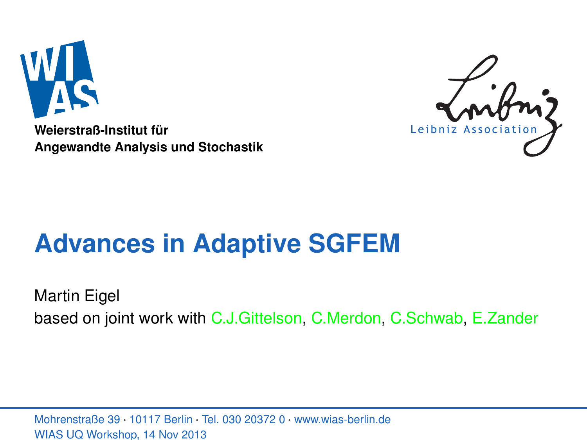

**Weierstraß-Institut für Angewandte Analysis und Stochastik**



# **Advances in Adaptive SGFEM**

Martin Eigel based on joint work with C.J.Gittelson, C.Merdon, C.Schwab, E.Zander

<span id="page-0-0"></span>Mohrenstraße 39 · 10117 Berlin · Tel. 030 20372 0 · www.wias-berlin.de WIAS UQ Workshop, 14 Nov 2013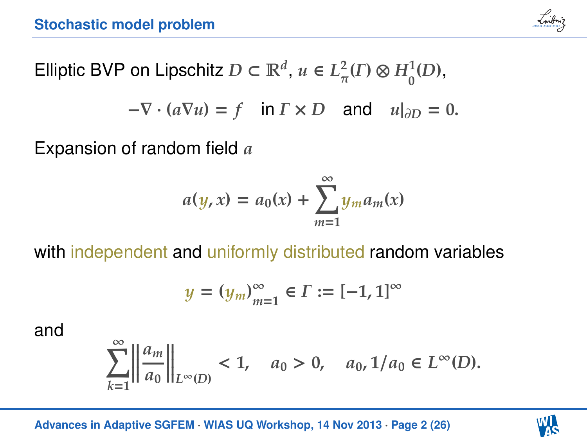

Elliptic BVP on Lipschitz  $D \subset \mathbb{R}^d$ ,  $u \in L^2$  $_{\pi}^{2}(\Gamma)\otimes H_{0}^{1}(D),$ 

$$
-\nabla \cdot (a\nabla u) = f \quad \text{in } \Gamma \times D \quad \text{and} \quad u|_{\partial D} = 0.
$$

Expansion of random field *a*

$$
a(y,x) = a_0(x) + \sum_{m=1}^{\infty} y_m a_m(x)
$$

with independent and uniformly distributed random variables

$$
y=(y_m)_{m=1}^\infty\in\varGamma:=[-1,1]^\infty
$$

and

$$
\sum_{k=1}^\infty \left|\left|\frac{a_m}{a_0}\right|\right|_{L^\infty(D)}<1,\quad a_0>0,\quad a_0,1/a_0\in L^\infty(D).
$$

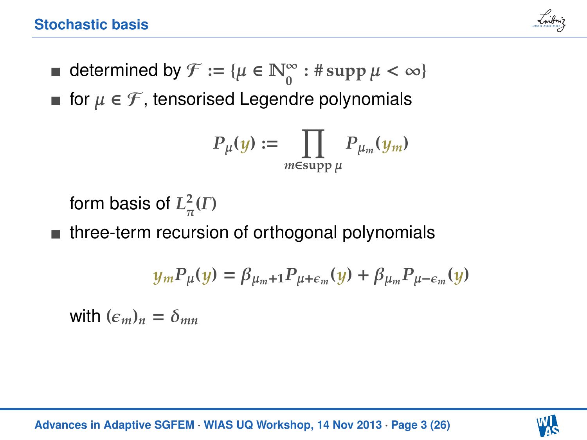

- **■** determined by  $\mathcal{F} := \{ \mu \in \mathbb{N}_0^\infty : \# \operatorname{supp} \mu < \infty \}$
- **■** for  $\mu \in \mathcal{F}$ , tensorised Legendre polynomials

$$
P_{\mu}(y) := \prod_{m \in \text{supp }\mu} P_{\mu_m}(y_m)
$$

form basis of  $L^2_\pi$  $\frac{2}{\pi}(\Gamma)$ 

■ three-term recursion of orthogonal polynomials

$$
y_m P_\mu(y) = \beta_{\mu_m+1} P_{\mu+\epsilon_m}(y) + \beta_{\mu_m} P_{\mu-\epsilon_m}(y)
$$

with  $(\epsilon_m)_n = \delta_{mn}$ 

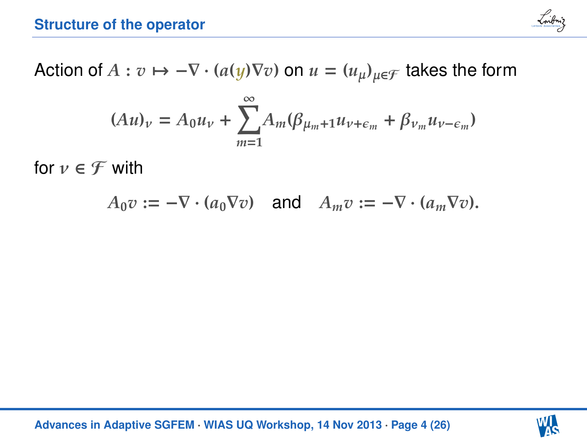

Action of  $A: v \mapsto -\nabla \cdot (a(y)\nabla v)$  on  $u = (u_\mu)_{\mu \in \mathcal{F}}$  takes the form

$$
(Au)_\nu = A_0 u_\nu + \sum_{m=1}^{\infty} A_m (\beta_{\mu_m+1} u_{\nu+\epsilon_m} + \beta_{\nu_m} u_{\nu-\epsilon_m})
$$

for  $\nu \in \mathcal{F}$  with

 $A_0 v := -\nabla \cdot (a_0 \nabla v)$  and  $A_m v := -\nabla \cdot (a_m \nabla v)$ .

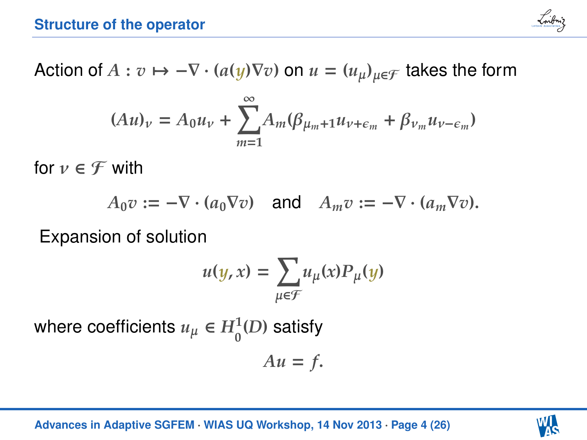

Action of  $A: v \mapsto -\nabla \cdot (a(y)\nabla v)$  on  $u = (u_\mu)_{\mu \in \mathcal{F}}$  takes the form

$$
(Au)_\nu = A_0 u_\nu + \sum_{m=1}^{\infty} A_m (\beta_{\mu_m+1} u_{\nu+\epsilon_m} + \beta_{\nu_m} u_{\nu-\epsilon_m})
$$

for  $\nu \in \mathcal{F}$  with

$$
A_0 v := -\nabla \cdot (a_0 \nabla v) \quad \text{and} \quad A_m v := -\nabla \cdot (a_m \nabla v).
$$

Expansion of solution

$$
u(y, x) = \sum_{\mu \in \mathcal{F}} u_{\mu}(x) P_{\mu}(y)
$$

where coefficients  $u_{\mu} \in H_0^1(D)$  satisfy

 $Au = f$ .

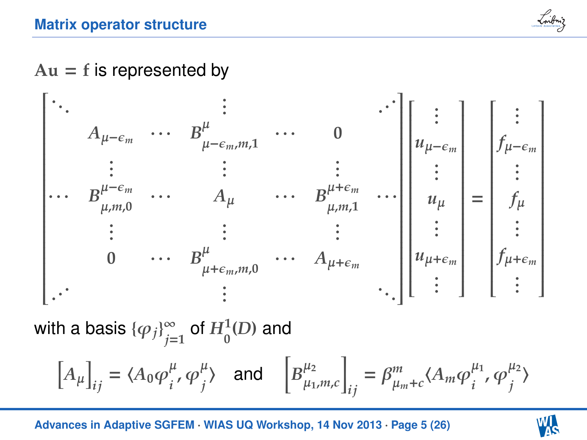

### $Au = f$  is represented by



with a basis  $\{\varphi_j\}_{j=1}^{\infty}$  $\sum_{j=1}^{\infty}$  of  $H_{0}^{1}(D)$  and

$$
\left[A_{\mu}\right]_{ij} = \langle A_0 \varphi_i^{\mu}, \varphi_j^{\mu} \rangle \quad \text{and} \quad \left[B_{\mu_1, m, c}^{\mu_2}\right]_{ij} = \beta_{\mu_m + c}^m \langle A_m \varphi_i^{\mu_1}, \varphi_j^{\mu_2} \rangle
$$

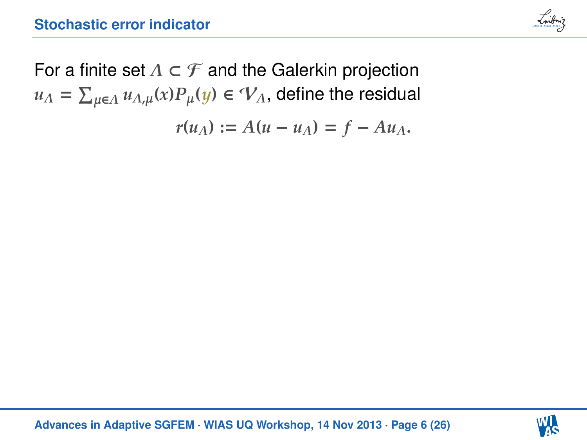

For a finite set  $\Lambda \subset \mathcal{F}$  and the Galerkin projection  $u_{\Lambda} = \sum_{\mu \in \Lambda} u_{\Lambda, \mu}(x) P_{\mu}(y) \in \mathcal{V}_{\Lambda}$ , define the residual  $r(u_A) := A(u - u_A) = f - Au_A$ .

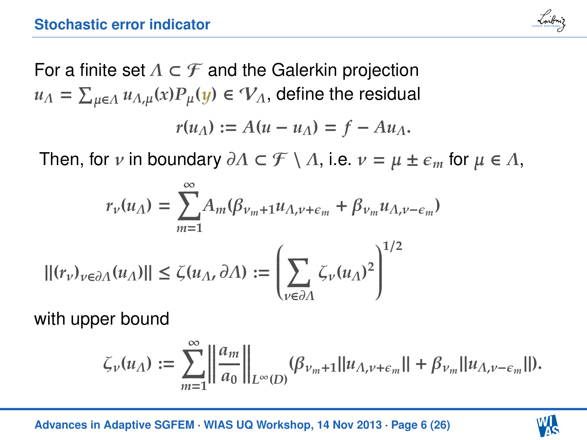

For a finite set  $\Lambda \subset \mathcal{F}$  and the Galerkin projection  $u_{\Lambda} = \sum_{\mu \in \Lambda} u_{\Lambda, \mu}(x) P_{\mu}(y) \in \mathcal{V}_{\Lambda}$ , define the residual  $r(u_A) := A(u - u_A) = f - Au_A$ .

Then, for *ν* in boundary  $\partial \Lambda \subset \mathcal{F} \setminus \Lambda$ , i.e.  $\nu = \mu \pm \epsilon_m$  for  $\mu \in \Lambda$ ,

$$
r_{\nu}(u_{\Lambda}) = \sum_{m=1}^{\infty} A_m(\beta_{\nu_m+1}u_{\Lambda,\nu+\epsilon_m} + \beta_{\nu_m}u_{\Lambda,\nu-\epsilon_m})
$$

$$
|| (r_{\nu})_{\nu \in \partial \Lambda}(u_{\Lambda}) || \le \zeta(u_{\Lambda}, \partial \Lambda) := \left( \sum_{\nu \in \partial \Lambda} \zeta_{\nu}(u_{\Lambda})^2 \right)^{1/2}
$$

with upper bound

$$
\zeta_{\nu}(u_{\Lambda}) := \sum_{m=1}^{\infty} \left\| \frac{a_m}{a_0} \right\|_{L^{\infty}(D)} (\beta_{\nu_m+1} || u_{\Lambda,\nu+\epsilon_m} || + \beta_{\nu_m} || u_{\Lambda,\nu-\epsilon_m} ||).
$$

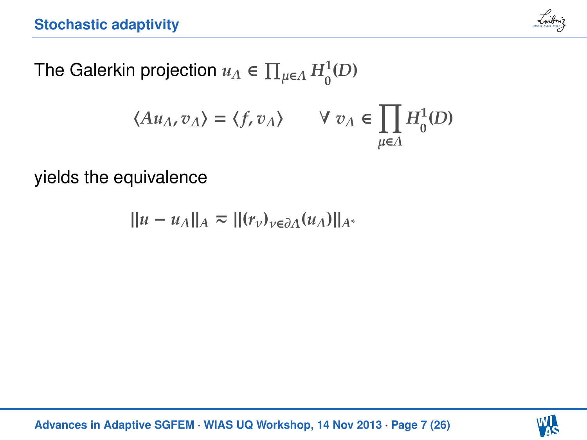

The Galerkin projection  $u_{\Lambda} \in \prod_{\mu \in \Lambda} H_0^1(D)$ 

$$
\langle Au_{\Lambda},v_{\Lambda}\rangle=\langle f,v_{\Lambda}\rangle\qquad\forall\;v_{\Lambda}\in\prod_{\mu\in\Lambda}H^1_0(D)
$$

yields the equivalence

$$
||u - u_{\Lambda}||_{A} \approx ||(r_{\nu})_{\nu \in \partial \Lambda}(u_{\Lambda})||_{A^*}
$$

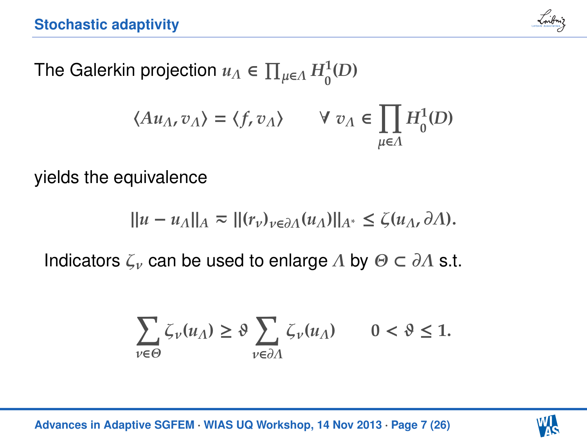

The Galerkin projection  $u_{\Lambda} \in \prod_{\mu \in \Lambda} H_0^1(D)$ 

$$
\langle Au_{\Lambda},v_{\Lambda}\rangle=\langle f,v_{\Lambda}\rangle\qquad\forall\;v_{\Lambda}\in\prod_{\mu\in\Lambda}H^1_0(D)
$$

yields the equivalence

$$
||u-u_\Lambda||_A \eqsim ||(r_\nu)_{\nu\in\partial\Lambda}(u_\Lambda)||_{A^*} \leq \zeta(u_\Lambda,\partial\Lambda).
$$

Indicators  $\zeta_{\nu}$  can be used to enlarge  $\Lambda$  by  $\Theta \subset \partial \Lambda$  s.t.

$$
\sum_{v\in \Theta}\zeta_v(u_{\varLambda})\geq \vartheta \sum_{v\in \partial {\varLambda}}\zeta_v(u_{\varLambda})\qquad 0<\vartheta\leq 1.
$$

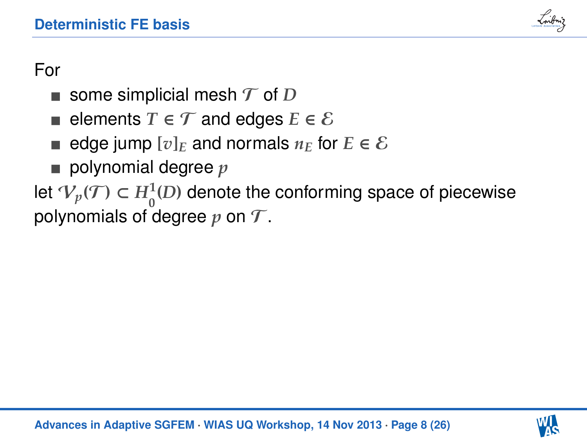

## For

- some simplicial mesh  $\mathcal T$  of  $D$
- elements  $T \in \mathcal{T}$  and edges  $E \in \mathcal{E}$
- edge jump  $[v]_E$  and normals  $n_E$  for  $E \in \mathcal{E}$
- polynomial degree  $p$

let  $\mathcal{V}_p(\mathcal{T})$  ⊂  $H^1_0(D)$  denote the conforming space of piecewise polynomials of degree  $p$  on  $\mathcal T$ .

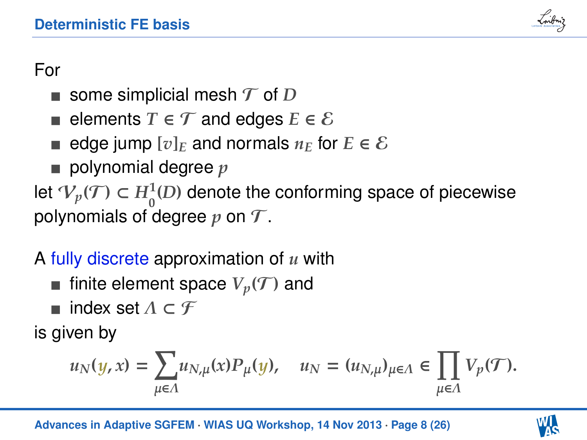

# For

- some simplicial mesh  $\mathcal T$  of  $D$
- elements  $T \in \mathcal{T}$  and edges  $E \in \mathcal{E}$
- edge jump  $[v]_E$  and normals  $n_E$  for  $E \in \mathcal{E}$
- polynomial degree *p*

let  $\mathcal{V}_p(\mathcal{T})$  ⊂  $H^1_0(D)$  denote the conforming space of piecewise polynomials of degree  $p$  on  $\mathcal T$ .

# A fully discrete approximation of *u* with

- **finite element space**  $V_p(\mathcal{T})$  **and**
- $\blacksquare$  index set  $\Lambda \subset \mathcal{F}$

is given by

$$
u_N(y,x)=\sum_{\mu\in\Lambda}u_{N,\mu}(x)P_\mu(y),\quad u_N=(u_{N,\mu})_{\mu\in\Lambda}\in\prod_{\mu\in\Lambda}V_p(\mathcal{T}).
$$

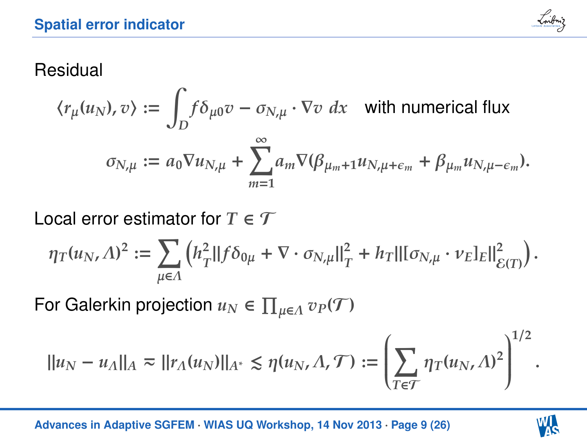

### Residual

$$
\langle r_{\mu}(u_N), v \rangle := \int_D f \delta_{\mu 0} v - \sigma_{N, \mu} \cdot \nabla v \, dx \quad \text{with numerical flux}
$$

$$
\sigma_{N, \mu} := a_0 \nabla u_{N, \mu} + \sum_{m=1}^{\infty} a_m \nabla (\beta_{\mu_m + 1} u_{N, \mu + \epsilon_m} + \beta_{\mu_m} u_{N, \mu - \epsilon_m}).
$$

Local error estimator for  $T \in \mathcal{T}$ 

$$
\eta_T(u_N,\Lambda)^2:=\sum_{\mu\in\Lambda}\left(h_T^2\|f\delta_{0\mu}+\nabla\cdot\sigma_{N,\mu}\|_T^2+h_T\|[\sigma_{N,\mu}\cdot\nu_E]_E\|_{\mathcal{E}(T)}^2\right).
$$

For Galerkin projection  $u_N \in \prod_{\mu \in \Lambda} v_P(\mathcal{T})$ 

$$
||u_N - u_\Lambda||_A \approx ||r_\Lambda(u_N)||_{A^*} \leq \eta(u_N, \Lambda, \mathcal{T}) := \left(\sum_{T \in \mathcal{T}} \eta_T(u_N, \Lambda)^2\right)^{1/2}.
$$

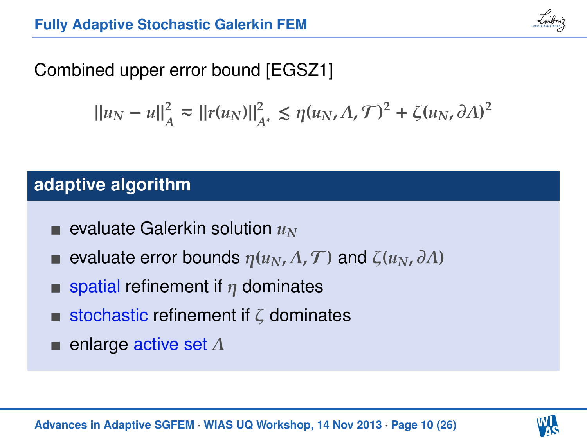

# Combined upper error bound [EGSZ1]

$$
\left|\left|u_N-u\right|\right|_{A}^2 \eqsim \left|\left|r(u_N)\right|\right|_{A^*}^2 \lesssim \eta(u_N,\Lambda,\mathcal{T})^2 + \zeta(u_N,\partial \Lambda)^2
$$

### **adaptive algorithm**

- evaluate Galerkin solution *u<sup>N</sup>*
- evaluate error bounds  $\eta(u_N, \Lambda, \mathcal{T})$  and  $\zeta(u_N, \partial \Lambda)$
- spatial refinement if  $\eta$  dominates
- stochastic refinement if  $\zeta$  dominates
- enlarge active set Λ

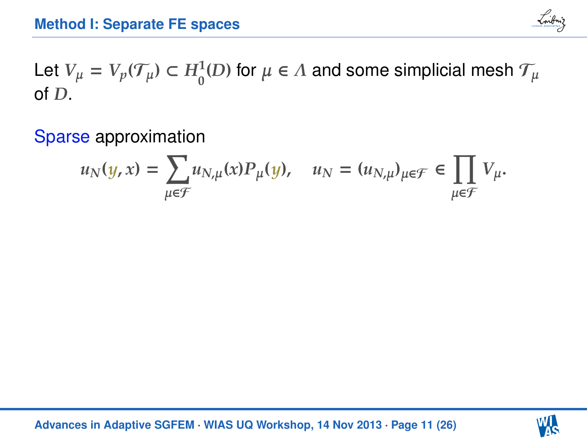

Let  $V_\mu = V_p(\mathcal{T}_\mu) \subset H_0^1(D)$  for  $\mu \in \Lambda$  and some simplicial mesh  $\mathcal{T}_\mu$ of *D*.

Sparse approximation

$$
u_N(y,x)=\sum_{\mu\in\mathcal{F}}u_{N,\mu}(x)P_\mu(y),\quad u_N=(u_{N,\mu})_{\mu\in\mathcal{F}}\in\prod_{\mu\in\mathcal{F}}V_\mu.
$$

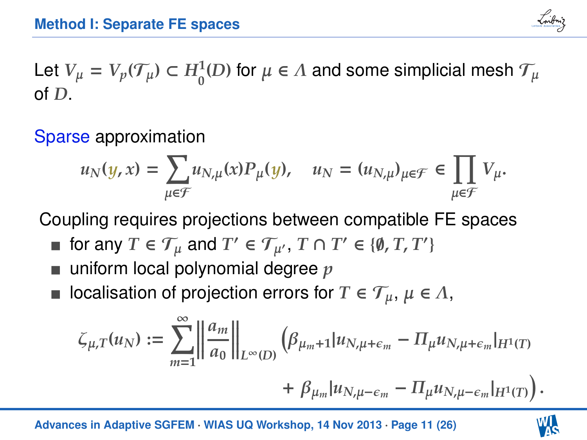

Let  $V_\mu = V_p(\mathcal{T}_\mu) \subset H_0^1(D)$  for  $\mu \in \Lambda$  and some simplicial mesh  $\mathcal{T}_\mu$ of *D*.

Sparse approximation

$$
u_N(y,x)=\sum_{\mu\in\mathcal{F}}u_{N,\mu}(x)P_\mu(y),\quad u_N=(u_{N,\mu})_{\mu\in\mathcal{F}}\in\prod_{\mu\in\mathcal{F}}V_\mu.
$$

Coupling requires projections between compatible FE spaces

- for any  $T \in \mathcal{T}_{\mu}$  and  $T' \in \mathcal{T}_{\mu'}$ ,  $T \cap T' \in \{\emptyset, T, T'\}$
- uniform local polynomial degree *p*
- localisation of projection errors for  $T \in \mathcal{T}_{\mu}$ ,  $\mu \in \Lambda$ ,

$$
\zeta_{\mu,T}(u_N) := \sum_{m=1}^{\infty} \left\| \frac{a_m}{a_0} \right\|_{L^{\infty}(D)} \left( \beta_{\mu_m+1} | u_{N,\mu+\epsilon_m} - \Pi_{\mu} u_{N,\mu+\epsilon_m} |_{H^1(T)} \right. \\ \left. + \beta_{\mu_m} | u_{N,\mu-\epsilon_m} - \Pi_{\mu} u_{N,\mu-\epsilon_m} |_{H^1(T)} \right).
$$

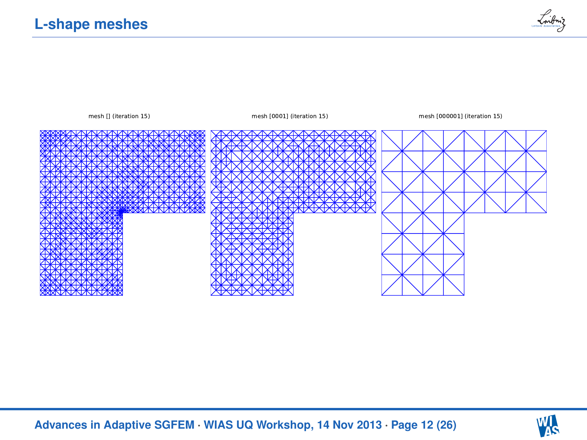



mesh [] (iteration 15) mesh [0001] (iteration 15) mesh [000001] (iteration 15)



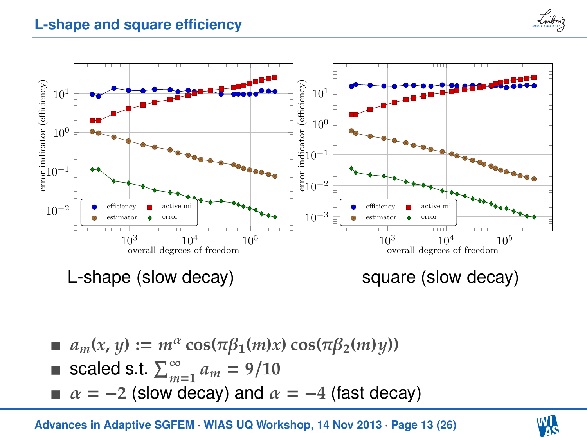#### **L-shape and square efficiency**



$$
a_m(x, y) := m^{\alpha} \cos(\pi \beta_1(m)x) \cos(\pi \beta_2(m)y))
$$

■ scaled s.t. 
$$
\sum_{m=1}^{\infty} a_m = 9/10
$$

 $\blacksquare$  bodied on:  $\sum_{m=1}^{m}$   $\binom{m}{m}$  = 57.10<br>
■  $\alpha$  = −2 (slow decay) and  $\alpha$  = −4 (fast decay)

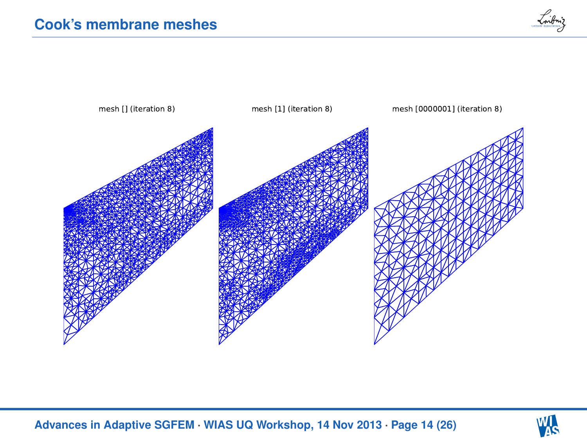



**[Advances in Adaptive SGFEM](#page-0-0)** · **WIAS UQ Workshop, 14 Nov 2013** · **Page 14 (26)**

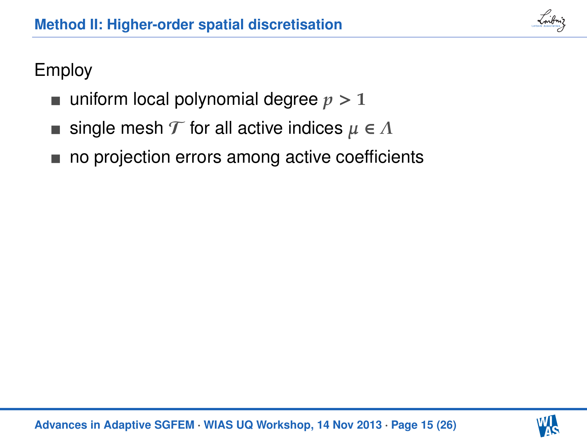

# Employ

- uniform local polynomial degree  $p > 1$
- single mesh  $\mathcal T$  for all active indices  $\mu \in \Lambda$
- no projection errors among active coefficients

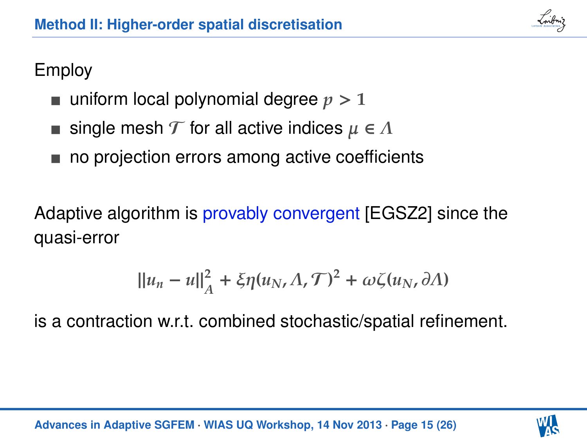

# Employ

- uniform local polynomial degree  $p > 1$
- single mesh  $\mathcal T$  for all active indices  $\mu \in \Lambda$
- no projection errors among active coefficients

Adaptive algorithm is provably convergent [EGSZ2] since the quasi-error

$$
\|u_n-u\|_A^2+\xi\eta(u_N,\Lambda,\mathcal{T})^2+\omega\zeta(u_N,\partial\Lambda)
$$

is a contraction w.r.t. combined stochastic/spatial refinement.

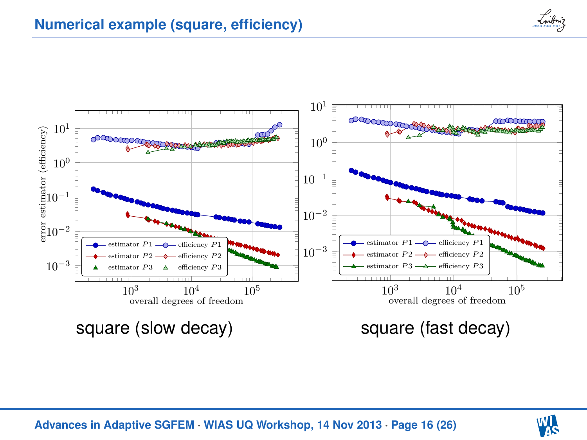



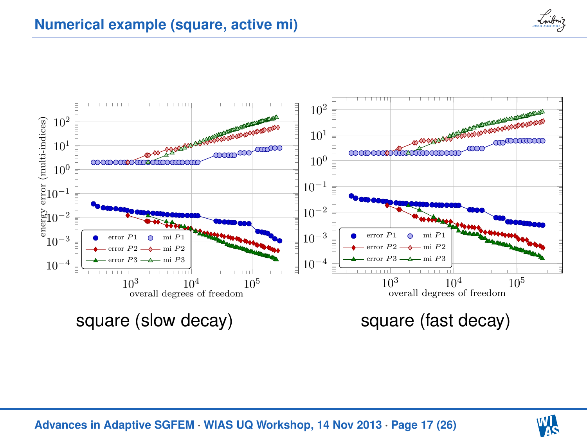





**[Advances in Adaptive SGFEM](#page-0-0)** · **WIAS UQ Workshop, 14 Nov 2013** · **Page 17 (26)**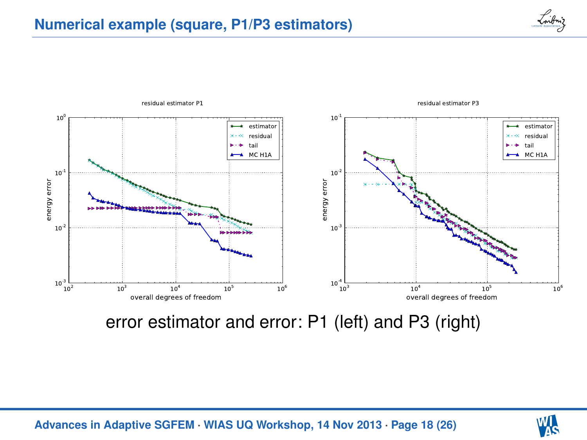



### error estimator and error: P1 (left) and P3 (right)



**[Advances in Adaptive SGFEM](#page-0-0)** · **WIAS UQ Workshop, 14 Nov 2013** · **Page 18 (26)**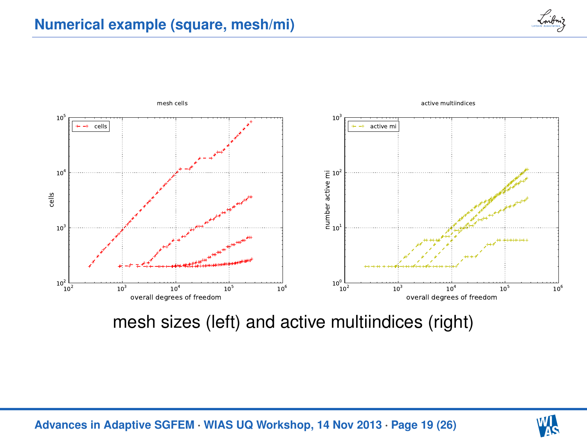



mesh sizes (left) and active multiindices (right)



**[Advances in Adaptive SGFEM](#page-0-0)** · **WIAS UQ Workshop, 14 Nov 2013** · **Page 19 (26)**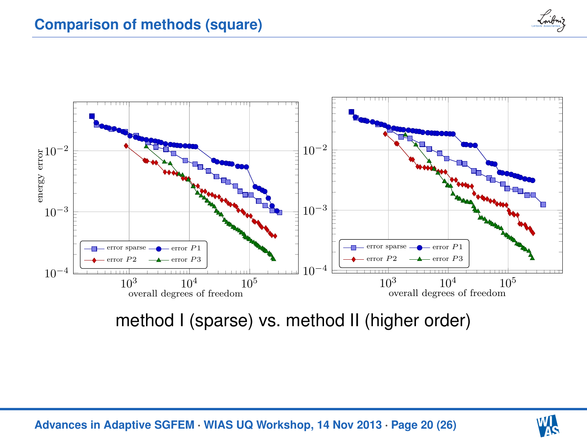



method I (sparse) vs. method II (higher order)



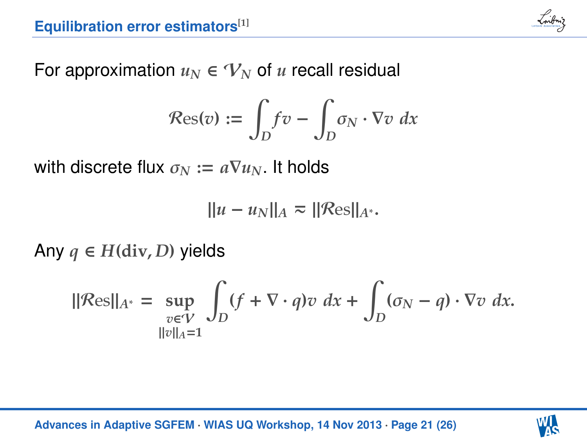

For approximation  $u_N \in V_N$  of *u* recall residual

$$
\mathcal{R}\text{es}(v) := \int_D f v - \int_D \sigma_N \cdot \nabla v \ dx
$$

with discrete flux  $\sigma_N := a \nabla u_N$ . It holds

$$
||u - u_N||_A \approx ||\mathcal{R}es||_{A^*}.
$$

Any  $q$  ∈  $H$ (div, *D*) yields

$$
\|\mathcal{R}\text{es}\|_{A^*} = \sup_{\substack{v \in V \\ \|v\|_A = 1}} \int_D (f + \nabla \cdot q) v \, dx + \int_D (\sigma_N - q) \cdot \nabla v \, dx.
$$

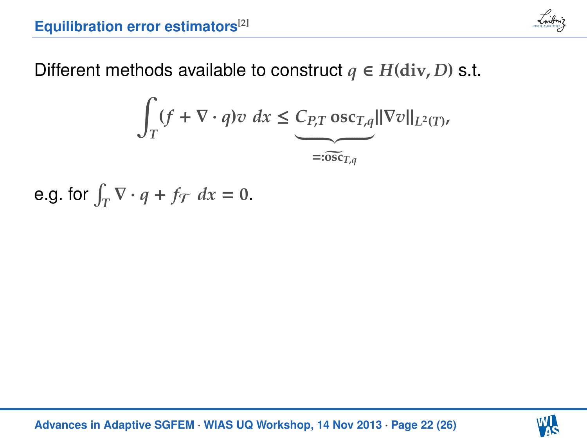

Different methods available to construct  $q \in H(\text{div}, D)$  s.t.

$$
\int_{T} (f + \nabla \cdot q) v \, dx \leq \underbrace{C_{P,T} \operatorname{osc}_{T,q}}_{=: \widetilde{\operatorname{osc}}_{T,q}} ||\nabla v||_{L^{2}(T)},
$$

e.g. for  $\int_T \nabla \cdot q + f_T dx = 0$ .

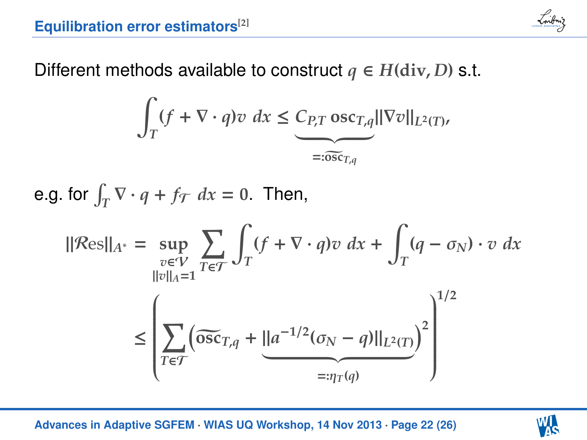

Different methods available to construct  $q \in H(\text{div}, D)$  s.t.

$$
\int_{T} (f + \nabla \cdot q) v \, dx \leq \underbrace{C_{P,T} \operatorname{osc}_{T,q} ||\nabla v||_{L^{2}(T)}}_{=: \widetilde{\operatorname{osc}}_{T,q}}
$$

e.g. for  $\int_T \nabla \cdot q + f_T dx = 0$ . Then,

$$
\|\mathcal{R}\text{es}\|_{A^*} = \sup_{\substack{v \in V \\ ||v||_{A} = 1}} \sum_{T \in \mathcal{T}} \int_T (f + \nabla \cdot q) v \, dx + \int_T (q - \sigma_N) \cdot v \, dx
$$

$$
\leq \left( \sum_{T \in \mathcal{T}} \left( \widetilde{\text{osc}}_{T,q} + \underbrace{||a^{-1/2}(\sigma_N - q)||_{L^2(T)}}_{=: \eta_T(q)} \right)^2 \right)^{1/2}
$$

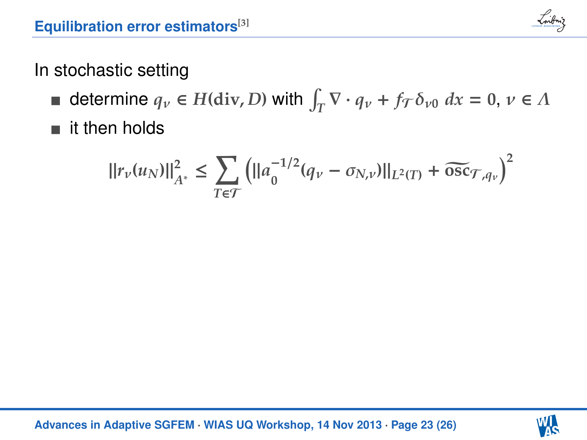

## In stochastic setting

- determine  $q_v \in H(\text{div}, D)$  with  $\int_T \nabla \cdot q_v + f_T \delta_{v0} dx = 0, v \in \Lambda$
- **i** it then holds

$$
||r_{\nu}(u_N)||_{A^*}^2 \le \sum_{T \in \mathcal{T}} \left( ||a_0^{-1/2}(q_{\nu} - \sigma_{N,\nu})||_{L^2(T)} + \widetilde{\mathrm{osc}}_{\mathcal{T},q_{\nu}} \right)^2
$$

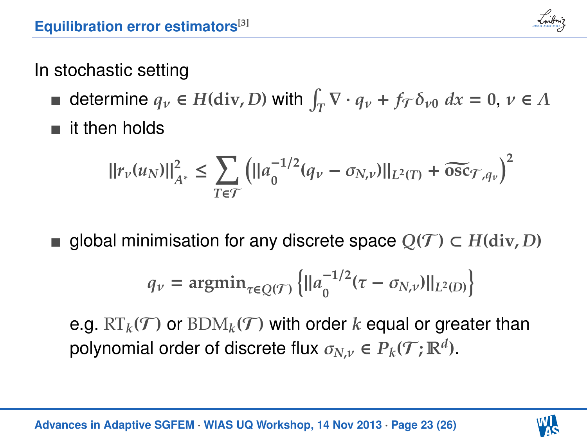

# In stochastic setting

- determine  $q_v \in H(\text{div}, D)$  with  $\int_T \nabla \cdot q_v + f_T \delta_{v0} dx = 0, v \in \Lambda$
- it then holds

$$
||r_{\nu}(u_N)||_{A^*}^2 \le \sum_{T \in \mathcal{T}} \left( ||a_0^{-1/2}(q_{\nu} - \sigma_{N,\nu})||_{L^2(T)} + \widetilde{\text{osc}}_{\mathcal{T},q_{\nu}} \right)^2
$$

alobal minimisation for any discrete space  $O(T) \subset H(\text{div}, D)$ 

$$
q_{\nu} = \mathrm{argmin}_{\tau \in Q(\mathcal{T})} \left\{ ||a_0^{-1/2}(\tau - \sigma_{N,\nu})||_{L^2(D)} \right\}
$$

e.g.  $RT_k(T)$  or  $BDM_k(T)$  with order k equal or greater than polynomial order of discrete flux  $\sigma_{N,\nu} \in P_k(\mathcal{T}; \mathbb{R}^d)$ .

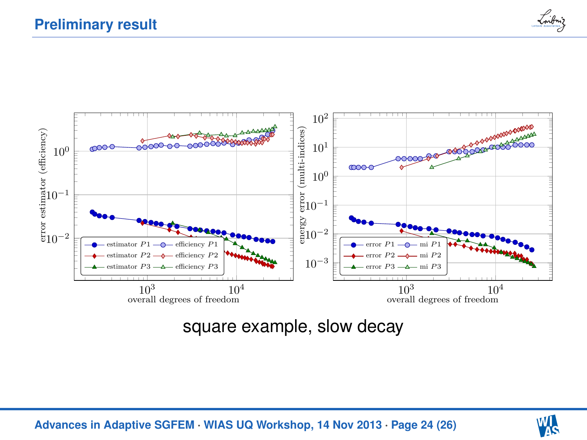



square example, slow decay



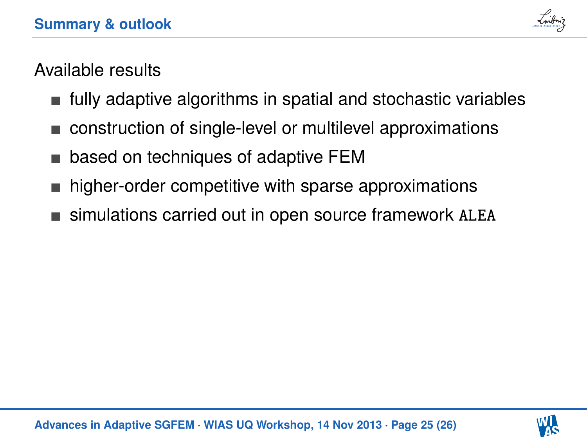

# Available results

- fully adaptive algorithms in spatial and stochastic variables
- construction of single-level or multilevel approximations
- based on techniques of adaptive FEM
- higher-order competitive with sparse approximations
- simulations carried out in open source framework ALEA

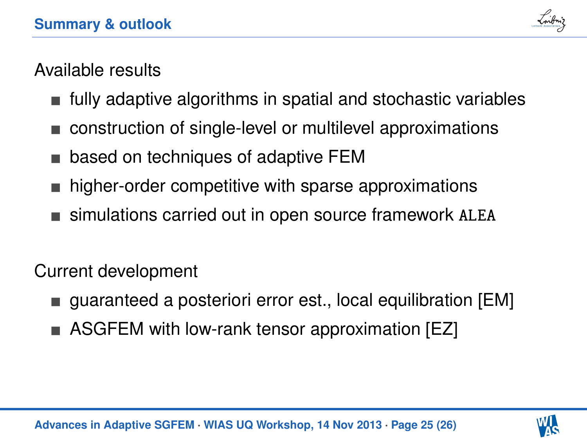

# Available results

- fully adaptive algorithms in spatial and stochastic variables
- construction of single-level or multilevel approximations
- based on techniques of adaptive FEM
- higher-order competitive with sparse approximations
- simulations carried out in open source framework ALEA

Current development

- guaranteed a posteriori error est., local equilibration [EM]
- ASGFEM with low-rank tensor approximation [EZ]